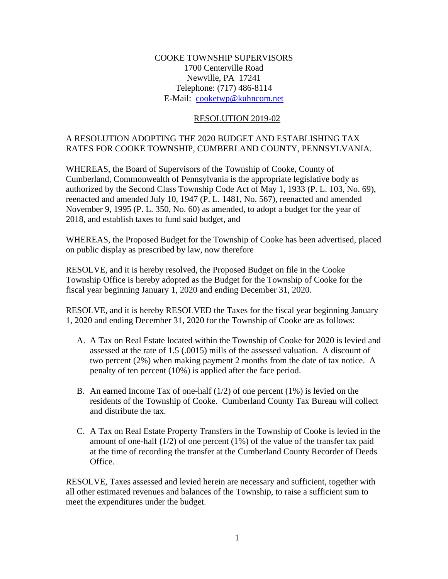## COOKE TOWNSHIP SUPERVISORS 1700 Centerville Road Newville, PA 17241 Telephone: (717) 486-8114 E-Mail: [cooketwp@kuhncom.net](../2017%20Resolutions/cooketwp@kuhncom.net)

#### RESOLUTION 2019-02

## A RESOLUTION ADOPTING THE 2020 BUDGET AND ESTABLISHING TAX RATES FOR COOKE TOWNSHIP, CUMBERLAND COUNTY, PENNSYLVANIA.

WHEREAS, the Board of Supervisors of the Township of Cooke, County of Cumberland, Commonwealth of Pennsylvania is the appropriate legislative body as authorized by the Second Class Township Code Act of May 1, 1933 (P. L. 103, No. 69), reenacted and amended July 10, 1947 (P. L. 1481, No. 567), reenacted and amended November 9, 1995 (P. L. 350, No. 60) as amended, to adopt a budget for the year of 2018, and establish taxes to fund said budget, and

WHEREAS, the Proposed Budget for the Township of Cooke has been advertised, placed on public display as prescribed by law, now therefore

RESOLVE, and it is hereby resolved, the Proposed Budget on file in the Cooke Township Office is hereby adopted as the Budget for the Township of Cooke for the fiscal year beginning January 1, 2020 and ending December 31, 2020.

RESOLVE, and it is hereby RESOLVED the Taxes for the fiscal year beginning January 1, 2020 and ending December 31, 2020 for the Township of Cooke are as follows:

- A. A Tax on Real Estate located within the Township of Cooke for 2020 is levied and assessed at the rate of 1.5 (.0015) mills of the assessed valuation. A discount of two percent (2%) when making payment 2 months from the date of tax notice. A penalty of ten percent (10%) is applied after the face period.
- B. An earned Income Tax of one-half  $(1/2)$  of one percent  $(1\%)$  is levied on the residents of the Township of Cooke. Cumberland County Tax Bureau will collect and distribute the tax.
- C. A Tax on Real Estate Property Transfers in the Township of Cooke is levied in the amount of one-half  $(1/2)$  of one percent  $(1%)$  of the value of the transfer tax paid at the time of recording the transfer at the Cumberland County Recorder of Deeds Office.

RESOLVE, Taxes assessed and levied herein are necessary and sufficient, together with all other estimated revenues and balances of the Township, to raise a sufficient sum to meet the expenditures under the budget.